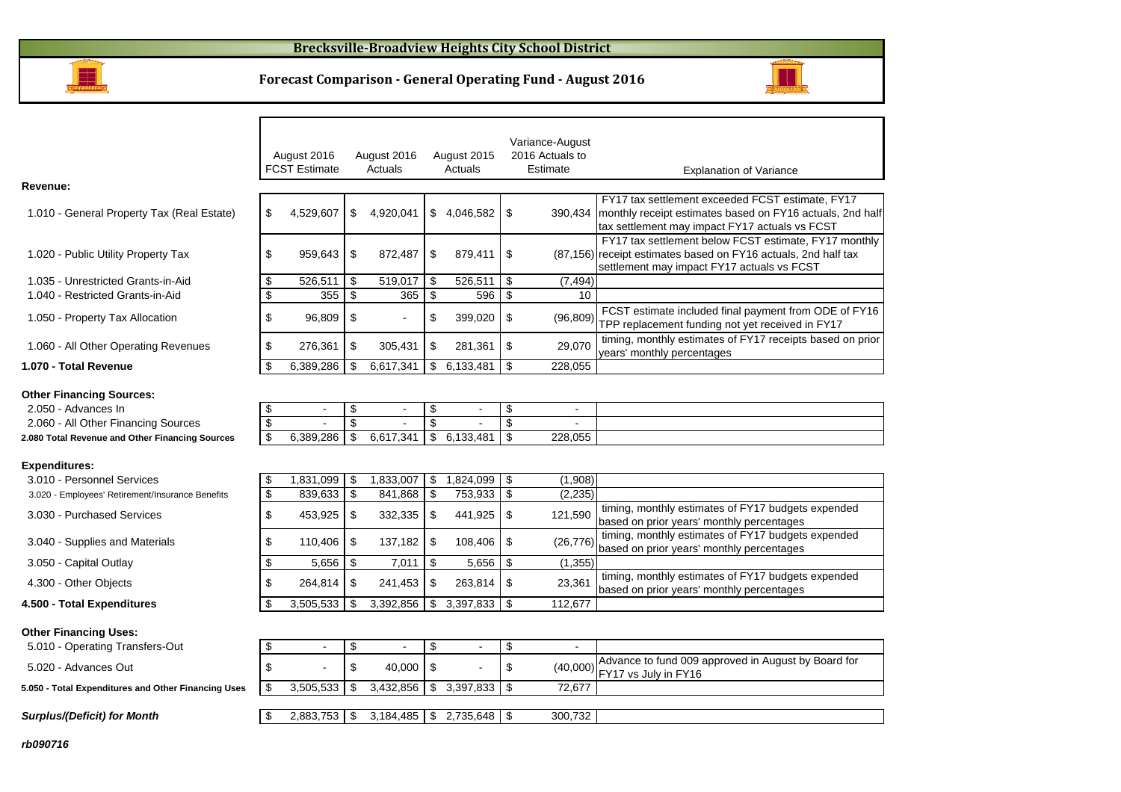

#### **Forecast Comparison - General Operating Fund - August 2016**



timing, monthly estimates of FY17 budgets expended

137,182 | \$108,406 | \$(26,776)  $\begin{bmatrix} \text{turning, monthly estimates of FY17 budgets} \\ \text{based on prior years'} \text{ months} \end{bmatrix}$ 

 $\begin{array}{|l|l|}\n\hline\n\text{3} & 241,453 \text{ } \text{\$} & 263,814 \text{ } \text{\$} & 23,361 \text{ } \text{timing, monthly estimates of FY17 budgets} \\
\hline\n\end{array}$ 

|                                                  |               | August 2016<br><b>FCST Estimate</b> |     | August 2016<br>Actuals | August 2015<br>Actuals |      | Variance-August<br>2016 Actuals to<br>Estimate | <b>Explanation of Variance</b>                                                                                                                                            |
|--------------------------------------------------|---------------|-------------------------------------|-----|------------------------|------------------------|------|------------------------------------------------|---------------------------------------------------------------------------------------------------------------------------------------------------------------------------|
| Revenue:                                         |               |                                     |     |                        |                        |      |                                                |                                                                                                                                                                           |
| 1.010 - General Property Tax (Real Estate)       | \$            | 4,529,607                           | \$  | 4,920,041              | \$<br>4,046,582        | - \$ |                                                | FY17 tax settlement exceeded FCST estimate, FY17<br>390,434   monthly receipt estimates based on FY16 actuals, 2nd half<br>tax settlement may impact FY17 actuals vs FCST |
| 1.020 - Public Utility Property Tax              | S             | 959,643                             | \$  | 872,487                | \$<br>879,411          | -\$  |                                                | FY17 tax settlement below FCST estimate, FY17 monthly<br>(87,156) receipt estimates based on FY16 actuals, 2nd half tax<br>settlement may impact FY17 actuals vs FCST     |
| 1.035 - Unrestricted Grants-in-Aid               |               | 526.511                             | \$  | 519,017                | \$<br>526,511          | -\$  | (7, 494)                                       |                                                                                                                                                                           |
| 1.040 - Restricted Grants-in-Aid                 |               | 355                                 | \$  | 365                    | \$<br>596              | \$   | 10                                             |                                                                                                                                                                           |
| 1.050 - Property Tax Allocation                  | \$            | 96,809                              | \$  |                        | \$<br>399,020          | -\$  | (96, 809)                                      | FCST estimate included final payment from ODE of FY16<br>TPP replacement funding not yet received in FY17                                                                 |
| 1.060 - All Other Operating Revenues             |               | 276,361                             | \$  | 305,431                | \$<br>281,361          | -\$  | 29,070                                         | timing, monthly estimates of FY17 receipts based on prior<br>years' monthly percentages                                                                                   |
| 1.070 - Total Revenue                            |               | 6,389,286                           | \$. | 6,617,341              | \$<br>6,133,481        | \$   | 228,055                                        |                                                                                                                                                                           |
| <b>Other Financing Sources:</b>                  |               |                                     |     |                        |                        |      |                                                |                                                                                                                                                                           |
| 2.050 - Advances In                              |               | $\blacksquare$                      | \$  |                        | \$                     | \$   | $\blacksquare$                                 |                                                                                                                                                                           |
| 2.060 - All Other Financing Sources              | \$            |                                     | \$. |                        | \$                     | \$   |                                                |                                                                                                                                                                           |
| 2.080 Total Revenue and Other Financing Sources  | $\mathcal{S}$ | 6,389,286                           | \$  | 6,617,341              | \$<br>6,133,481        | \$   | 228,055                                        |                                                                                                                                                                           |
| <b>Expenditures:</b>                             |               |                                     |     |                        |                        |      |                                                |                                                                                                                                                                           |
| 3.010 - Personnel Services                       |               | 1,831,099                           | \$  | 1,833,007              | \$<br>1,824,099        | \$   | (1,908)                                        |                                                                                                                                                                           |
| 3.020 - Employees' Retirement/Insurance Benefits | \$            | 839,633                             | \$  | 841,868                | \$<br>753,933          | \$   | (2, 235)                                       |                                                                                                                                                                           |
| 3.030 - Purchased Services                       | S             | 453,925                             | \$  | 332,335                | \$<br>441,925          | -\$  | 121,590                                        | timing, monthly estimates of FY17 budgets expended<br>based on prior years' monthly percentages                                                                           |

3.040 - Supplies and Materials 110,406

3.050 - Capital Outlay

4.300 - Other Objects 3.14 | \$264,814 | \$

**4.500 - Total Expenditures**

#### **Other Financing Uses:**

| 5.010 - Operating Transfers-Out                     | $\overline{\phantom{0}}$ |                        |                              | $\overline{\phantom{a}}$ |                                                                                            |
|-----------------------------------------------------|--------------------------|------------------------|------------------------------|--------------------------|--------------------------------------------------------------------------------------------|
| 5.020 - Advances Out                                |                          | $40.000$ S             |                              |                          | Advance to fund 009 approved in August by Board for<br>$(40,000)$ $ $ FY17 vs July in FY16 |
| 5.050 - Total Expenditures and Other Financing Uses | 3,505,533                |                        | $3,432,856$   \$ $3,397,833$ | 72.677                   |                                                                                            |
|                                                     |                          |                        |                              |                          |                                                                                            |
| <b>Surplus/(Deficit) for Month</b>                  | 2,883,753                | $3,184,485$ $\sqrt{5}$ | 2.735.648                    | 300,732                  |                                                                                            |

 $\frac{1}{3}$  3,505,533 \$ 3,392,856 \$ 3,397,833 \$ 112,677

 $7,011$  \$ 5,656 \$ (1,355)

 $$ 5,656$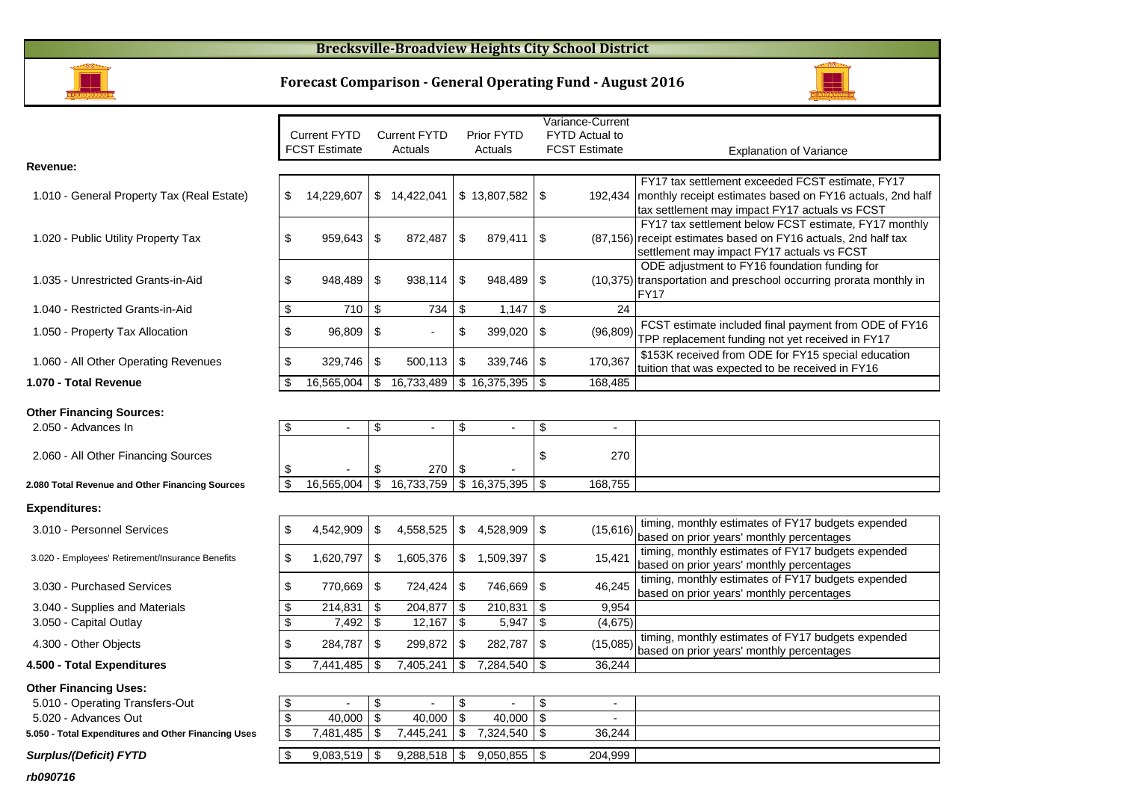## **Brecksville-Broadview Heights City School District**

# **Forecast Comparison - General Operating Fund - August 2016**



|                                                  |                                       |                           |                                    | Variance-Current      |                                                                    |
|--------------------------------------------------|---------------------------------------|---------------------------|------------------------------------|-----------------------|--------------------------------------------------------------------|
|                                                  | <b>Current FYTD</b>                   | <b>Current FYTD</b>       | Prior FYTD                         | <b>FYTD Actual to</b> |                                                                    |
|                                                  | <b>FCST Estimate</b>                  | Actuals                   | Actuals                            | <b>FCST Estimate</b>  | <b>Explanation of Variance</b>                                     |
| Revenue:                                         |                                       |                           |                                    |                       |                                                                    |
|                                                  |                                       |                           |                                    |                       | FY17 tax settlement exceeded FCST estimate, FY17                   |
| 1.010 - General Property Tax (Real Estate)       | \$<br>14,229,607                      | \$14,422,041              | \$13,807,582                       | \$<br>192,434         | monthly receipt estimates based on FY16 actuals, 2nd half          |
|                                                  |                                       |                           |                                    |                       | tax settlement may impact FY17 actuals vs FCST                     |
|                                                  |                                       |                           |                                    |                       | FY17 tax settlement below FCST estimate, FY17 monthly              |
| 1.020 - Public Utility Property Tax              | \$<br>959,643                         | \$<br>872,487             | \$<br>$879,411$ \\$                |                       | (87,156) receipt estimates based on FY16 actuals, 2nd half tax     |
|                                                  |                                       |                           |                                    |                       | settlement may impact FY17 actuals vs FCST                         |
|                                                  |                                       |                           |                                    |                       | ODE adjustment to FY16 foundation funding for                      |
| 1.035 - Unrestricted Grants-in-Aid               | \$<br>948,489                         | \$<br>938,114             | \$<br>948,489                      | \$                    | (10,375) transportation and preschool occurring prorata monthly in |
|                                                  |                                       |                           |                                    |                       | <b>FY17</b>                                                        |
| 1.040 - Restricted Grants-in-Aid                 | \$<br>710                             | $\boldsymbol{\mathsf{S}}$ | 734<br>$\sqrt[6]{3}$<br>$1,147$ \$ | 24                    |                                                                    |
| 1.050 - Property Tax Allocation                  | \$<br>96,809                          | \$                        | \$<br>399,020                      | \$<br>(96, 809)       | FCST estimate included final payment from ODE of FY16              |
|                                                  |                                       |                           |                                    |                       | TPP replacement funding not yet received in FY17                   |
| 1.060 - All Other Operating Revenues             | \$<br>329,746                         | \$<br>500,113             | $\sqrt[6]{3}$<br>339,746 \$        | 170,367               | \$153K received from ODE for FY15 special education                |
|                                                  |                                       |                           |                                    |                       | tuition that was expected to be received in FY16                   |
| 1.070 - Total Revenue                            | 16,565,004                            | \$<br>16,733,489          | $\frac{1}{2}$ \$ 16,375,395 \\$    | 168,485               |                                                                    |
|                                                  |                                       |                           |                                    |                       |                                                                    |
| <b>Other Financing Sources:</b>                  |                                       |                           |                                    |                       |                                                                    |
| 2.050 - Advances In                              | \$<br>$\blacksquare$                  | \$<br>$\blacksquare$      | \$<br>$\blacksquare$               | \$<br>$\blacksquare$  |                                                                    |
|                                                  |                                       |                           |                                    |                       |                                                                    |
| 2.060 - All Other Financing Sources              |                                       |                           |                                    | \$<br>270             |                                                                    |
|                                                  | \$                                    | \$                        | $\sqrt[6]{3}$<br>270               |                       |                                                                    |
| 2.080 Total Revenue and Other Financing Sources  | $\overline{\mathbf{s}}$<br>16,565,004 | $\overline{\mathfrak{s}}$ | $16,733,759$ \$ $16,375,395$ \$    | 168,755               |                                                                    |
| <b>Expenditures:</b>                             |                                       |                           |                                    |                       |                                                                    |
|                                                  |                                       |                           |                                    |                       | timing, monthly estimates of FY17 budgets expended                 |
| 3.010 - Personnel Services                       | \$<br>4,542,909                       | \$<br>4,558,525           | \$<br>4,528,909 \$                 | (15, 616)             | based on prior years' monthly percentages                          |
|                                                  |                                       |                           |                                    |                       | timing, monthly estimates of FY17 budgets expended                 |
| 3.020 - Employees' Retirement/Insurance Benefits | \$<br>1,620,797                       | \$<br>1,605,376           | \$<br>1,509,397                    | 15,421<br>\$          | based on prior years' monthly percentages                          |
|                                                  |                                       |                           |                                    |                       | timing, monthly estimates of FY17 budgets expended                 |
| 3.030 - Purchased Services                       | \$<br>770,669                         | \$<br>724,424             | \$<br>746,669 \$                   | 46,245                | based on prior years' monthly percentages                          |
| 3.040 - Supplies and Materials                   | \$<br>214,831                         | 204,877<br>\$             | 210,831<br>-\$                     | \$<br>9,954           |                                                                    |
| 3.050 - Capital Outlay                           | \$<br>7,492                           | $\sqrt[6]{2}$<br>12,167   | $5,947$ \$<br>\$                   | (4,675)               |                                                                    |
|                                                  |                                       |                           |                                    |                       | timing, monthly estimates of FY17 budgets expended                 |
| 4.300 - Other Objects                            | \$<br>284,787                         | $\sqrt[6]{2}$<br>299,872  | \$<br>282,787                      | \$<br>(15,085)        | based on prior years' monthly percentages                          |
| 4.500 - Total Expenditures                       | 7,441,485<br>\$                       | 7,405,241<br>\$           | $7,284,540$ \$<br>\$               | 36,244                |                                                                    |
| <b>Other Financing Uses:</b>                     |                                       |                           |                                    |                       |                                                                    |
| 5.010 - Operating Transfers-Out                  | \$<br>$\blacksquare$                  | \$<br>$\blacksquare$      | $\blacksquare$                     | \$<br>$\blacksquare$  |                                                                    |
|                                                  |                                       |                           | \$                                 |                       |                                                                    |

40,000 \$ 40,000 \$ - \$

 $\frac{\$}{\$}$  40,000 \ 40,000 \ \$<br>\ 5 7,481,485 \ \$ 7,445,241 \ \$

 $7,445,241$  \$

 $\boxed{\$}$  9,083,519  $\$$  9,288,518  $\$$  9,050,855  $\$$  204,999

 $7,481,485$  \$

#### 5.020 - Advances Out

m

**5.050 - Total Expenditures and Other Financing Uses**

#### **Surplus/(Deficit) FYTD**

**rb090716**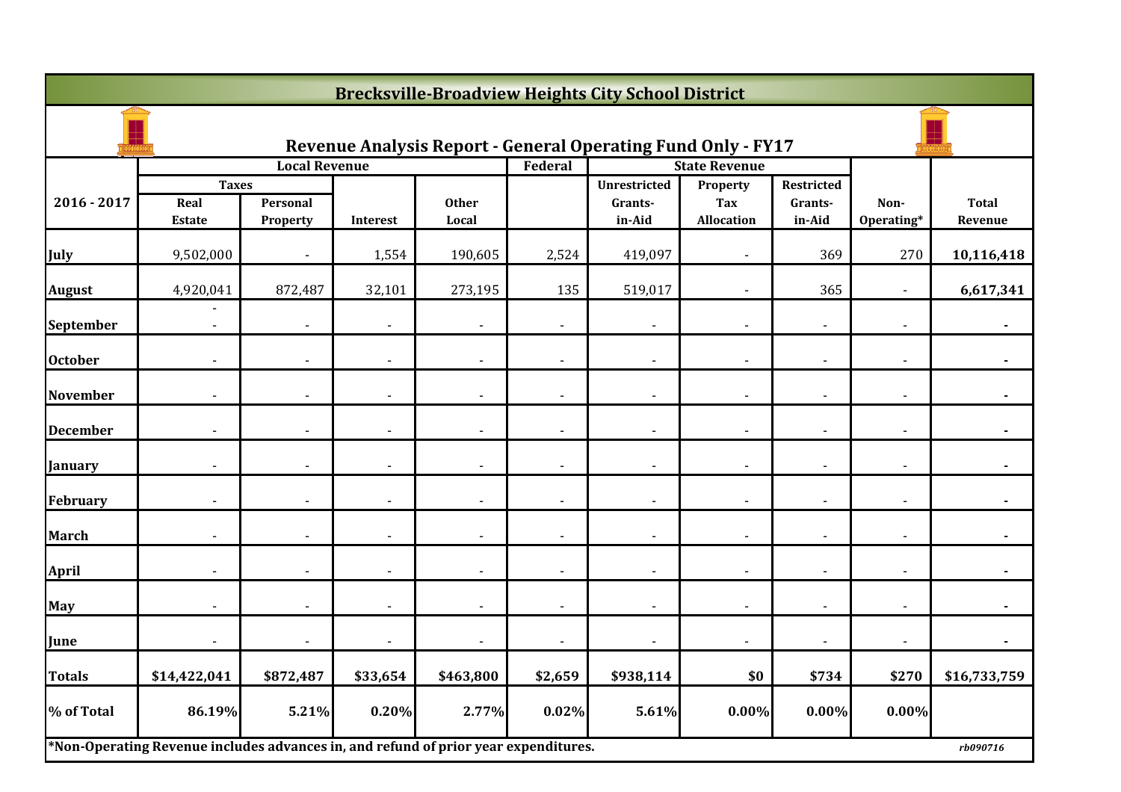|                 | <b>Brecksville-Broadview Heights City School District</b>                           |                      |                          |                       |                          |                                                                     |                                             |                                 |                    |                         |  |  |
|-----------------|-------------------------------------------------------------------------------------|----------------------|--------------------------|-----------------------|--------------------------|---------------------------------------------------------------------|---------------------------------------------|---------------------------------|--------------------|-------------------------|--|--|
|                 |                                                                                     |                      |                          |                       |                          | <b>Revenue Analysis Report - General Operating Fund Only - FY17</b> |                                             |                                 |                    |                         |  |  |
|                 |                                                                                     | <b>Local Revenue</b> |                          |                       | Federal                  |                                                                     | <b>State Revenue</b>                        |                                 |                    |                         |  |  |
| 2016 - 2017     | <b>Taxes</b><br>Real<br><b>Estate</b>                                               | Personal<br>Property | Interest                 | <b>Other</b><br>Local |                          | <b>Unrestricted</b><br>Grants-<br>in-Aid                            | Property<br><b>Tax</b><br><b>Allocation</b> | Restricted<br>Grants-<br>in-Aid | Non-<br>Operating* | <b>Total</b><br>Revenue |  |  |
| July            | 9,502,000                                                                           |                      | 1,554                    | 190,605               | 2,524                    | 419,097                                                             |                                             | 369                             | 270                | 10,116,418              |  |  |
| <b>August</b>   | 4,920,041                                                                           | 872,487              | 32,101                   | 273,195               | 135                      | 519,017                                                             |                                             | 365                             |                    | 6,617,341               |  |  |
| September       | $\sim$                                                                              | $\blacksquare$       | $\blacksquare$           | $\sim$                | $\sim$                   | $\blacksquare$                                                      | $\sim$                                      | $\blacksquare$                  | $\sim$             | $\blacksquare$          |  |  |
| <b>October</b>  |                                                                                     |                      | $\overline{\phantom{a}}$ |                       | $\blacksquare$           | $\blacksquare$                                                      |                                             |                                 |                    |                         |  |  |
| <b>November</b> |                                                                                     |                      | $\overline{\phantom{0}}$ |                       | $\overline{\phantom{a}}$ | $\blacksquare$                                                      |                                             |                                 |                    |                         |  |  |
| <b>December</b> |                                                                                     |                      |                          |                       |                          |                                                                     |                                             |                                 |                    |                         |  |  |
| January         |                                                                                     |                      |                          |                       |                          |                                                                     |                                             |                                 |                    |                         |  |  |
| February        | $\blacksquare$                                                                      | $\blacksquare$       | $\blacksquare$           | $\blacksquare$        | $\blacksquare$           | $\overline{\phantom{a}}$                                            | $\blacksquare$                              | $\blacksquare$                  | $\blacksquare$     | $\blacksquare$          |  |  |
| <b>March</b>    |                                                                                     |                      |                          |                       | $\blacksquare$           |                                                                     |                                             |                                 |                    |                         |  |  |
| <b>April</b>    |                                                                                     |                      | $\overline{\phantom{a}}$ |                       | $\overline{a}$           | $\overline{\phantom{a}}$                                            |                                             |                                 |                    |                         |  |  |
| May             |                                                                                     |                      | $\blacksquare$           |                       |                          | $\blacksquare$                                                      |                                             |                                 |                    |                         |  |  |
| June            |                                                                                     |                      | $\blacksquare$           |                       |                          | $\blacksquare$                                                      |                                             |                                 |                    |                         |  |  |
| Totals          | \$14,422,041                                                                        | \$872,487            | \$33,654                 | \$463,800             | \$2,659                  | \$938,114                                                           | \$0                                         | \$734                           | \$270              | \$16,733,759            |  |  |
| % of Total      | 86.19%                                                                              | 5.21%                | 0.20%                    | 2.77%                 | 0.02%                    | 5.61%                                                               | $0.00\%$                                    | $0.00\%$                        | 0.00%              |                         |  |  |
|                 | *Non-Operating Revenue includes advances in, and refund of prior year expenditures. |                      |                          |                       |                          |                                                                     |                                             |                                 |                    | rb090716                |  |  |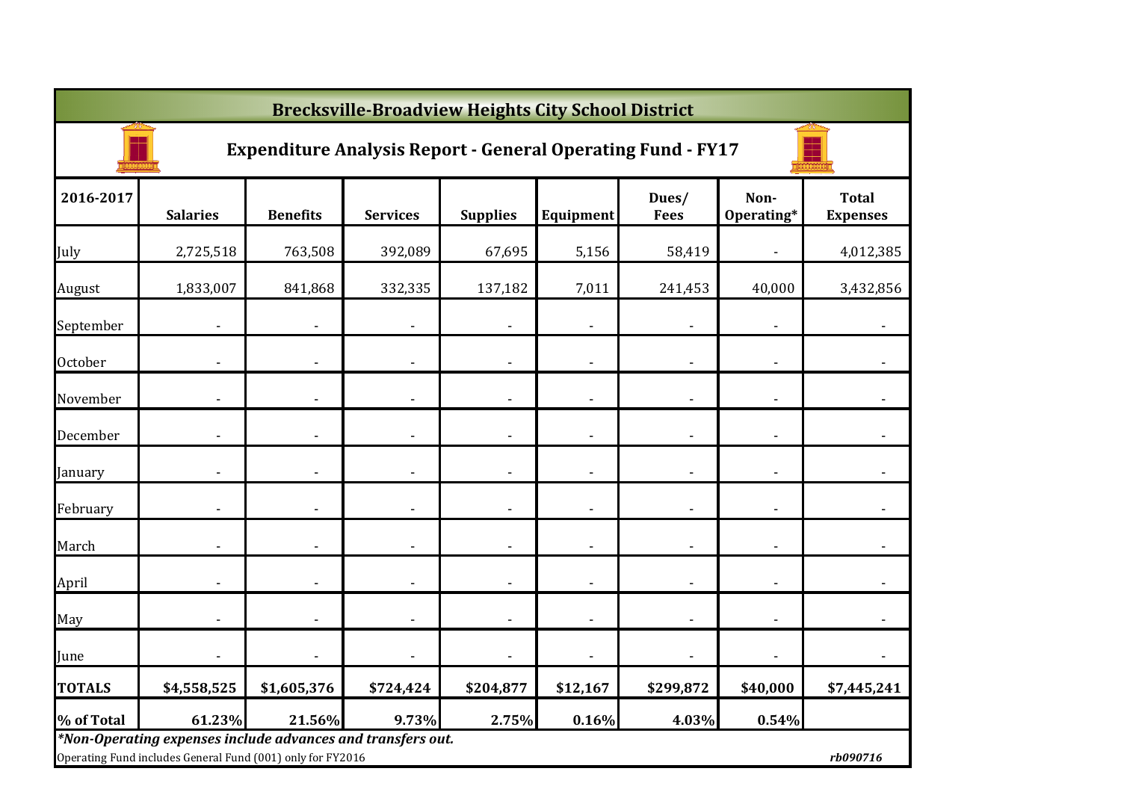|               | <b>Brecksville-Broadview Heights City School District</b>                                                                 |                 |                              |                 |                              |                      |                          |                                 |  |  |  |  |  |
|---------------|---------------------------------------------------------------------------------------------------------------------------|-----------------|------------------------------|-----------------|------------------------------|----------------------|--------------------------|---------------------------------|--|--|--|--|--|
|               | <b>Expenditure Analysis Report - General Operating Fund - FY17</b>                                                        |                 |                              |                 |                              |                      |                          |                                 |  |  |  |  |  |
| 2016-2017     | <b>Salaries</b>                                                                                                           | <b>Benefits</b> | <b>Services</b>              | <b>Supplies</b> | Equipment                    | Dues/<br><b>Fees</b> | Non-<br>Operating*       | <b>Total</b><br><b>Expenses</b> |  |  |  |  |  |
| July          | 2,725,518                                                                                                                 | 763,508         | 392,089                      | 67,695          | 5,156                        | 58,419               |                          | 4,012,385                       |  |  |  |  |  |
| August        | 1,833,007                                                                                                                 | 841,868         | 332,335                      | 137,182         | 7,011                        | 241,453              | 40,000                   | 3,432,856                       |  |  |  |  |  |
| September     |                                                                                                                           |                 |                              |                 |                              |                      |                          |                                 |  |  |  |  |  |
| October       |                                                                                                                           |                 |                              |                 | $\overline{\phantom{a}}$     |                      | ٠                        |                                 |  |  |  |  |  |
| November      |                                                                                                                           |                 |                              |                 | $\overline{\phantom{a}}$     |                      |                          |                                 |  |  |  |  |  |
| December      |                                                                                                                           |                 |                              |                 | $\qquad \qquad \blacksquare$ |                      |                          |                                 |  |  |  |  |  |
| January       |                                                                                                                           |                 |                              |                 | $\qquad \qquad \blacksquare$ |                      | ٠                        |                                 |  |  |  |  |  |
| February      |                                                                                                                           |                 | $\qquad \qquad \blacksquare$ |                 | $\overline{\phantom{a}}$     |                      | $\overline{\phantom{a}}$ |                                 |  |  |  |  |  |
| March         |                                                                                                                           |                 | $\overline{\phantom{a}}$     |                 | $\blacksquare$               |                      | $\blacksquare$           |                                 |  |  |  |  |  |
| April         |                                                                                                                           |                 | $\overline{\phantom{a}}$     |                 | $\overline{\phantom{a}}$     |                      | $\overline{\phantom{a}}$ |                                 |  |  |  |  |  |
| May           |                                                                                                                           |                 | $\overline{\phantom{a}}$     |                 | $\blacksquare$               |                      | ÷,                       |                                 |  |  |  |  |  |
| June          |                                                                                                                           |                 |                              |                 | $\blacksquare$               |                      |                          |                                 |  |  |  |  |  |
| <b>TOTALS</b> | \$4,558,525                                                                                                               | \$1,605,376     | \$724,424                    | \$204,877       | \$12,167                     | \$299,872            | \$40,000                 | \$7,445,241                     |  |  |  |  |  |
| % of Total    | 61.23%                                                                                                                    | 21.56%          | 9.73%                        | 2.75%           | 0.16%                        | 4.03%                | 0.54%                    |                                 |  |  |  |  |  |
|               | *Non-Operating expenses include advances and transfers out.<br>Operating Fund includes General Fund (001) only for FY2016 |                 |                              |                 |                              |                      |                          | rb090716                        |  |  |  |  |  |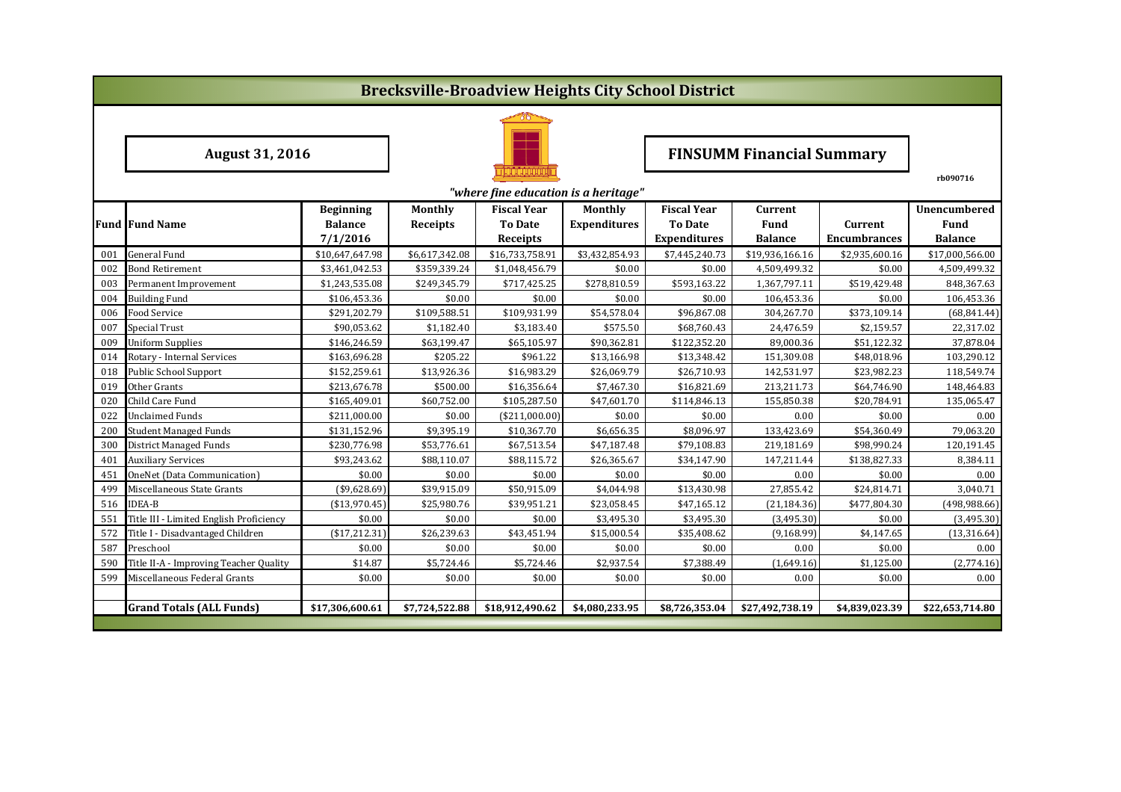|     | <b>Brecksville-Broadview Heights City School District</b> |                  |                |                                      |                                  |                     |                 |                     |                     |  |  |  |  |
|-----|-----------------------------------------------------------|------------------|----------------|--------------------------------------|----------------------------------|---------------------|-----------------|---------------------|---------------------|--|--|--|--|
|     |                                                           |                  |                |                                      |                                  |                     |                 |                     |                     |  |  |  |  |
|     | <b>August 31, 2016</b>                                    |                  |                |                                      | <b>FINSUMM Financial Summary</b> |                     |                 |                     |                     |  |  |  |  |
|     |                                                           |                  |                | "where fine education is a heritage" |                                  |                     |                 |                     | rb090716            |  |  |  |  |
|     |                                                           | <b>Beginning</b> | <b>Monthly</b> | <b>Fiscal Year</b>                   | Monthly                          | <b>Fiscal Year</b>  | Current         |                     | <b>Unencumbered</b> |  |  |  |  |
|     | <b>Fund Fund Name</b>                                     | <b>Balance</b>   | Receipts       | <b>To Date</b>                       | <b>Expenditures</b>              | <b>To Date</b>      | Fund            | Current             | Fund                |  |  |  |  |
|     |                                                           | 7/1/2016         |                | Receipts                             |                                  | <b>Expenditures</b> | <b>Balance</b>  | <b>Encumbrances</b> | <b>Balance</b>      |  |  |  |  |
| 001 | <b>General Fund</b>                                       | \$10,647,647.98  | \$6,617,342.08 | \$16,733,758.91                      | \$3,432,854.93                   | \$7,445,240.73      | \$19,936,166.16 | \$2,935,600.16      | \$17,000,566.00     |  |  |  |  |
| 002 | <b>Bond Retirement</b>                                    | \$3,461,042.53   | \$359,339.24   | \$1,048,456.79                       | \$0.00                           | \$0.00              | 4,509,499.32    | \$0.00              | 4,509,499.32        |  |  |  |  |
| 003 | Permanent Improvement                                     | \$1,243,535.08   | \$249,345.79   | \$717,425.25                         | \$278,810.59                     | \$593,163.22        | 1,367,797.11    | \$519,429.48        | 848,367.63          |  |  |  |  |
| 004 | <b>Building Fund</b>                                      | \$106,453.36     | \$0.00         | \$0.00                               | \$0.00                           | \$0.00              | 106,453.36      | \$0.00              | 106,453.36          |  |  |  |  |
| 006 | Food Service                                              | \$291,202.79     | \$109,588.51   | \$109,931.99                         | \$54,578.04                      | \$96,867.08         | 304,267.70      | \$373,109.14        | (68, 841.44)        |  |  |  |  |
| 007 | Special Trust                                             | \$90,053.62      | \$1,182.40     | \$3,183.40                           | \$575.50                         | \$68,760.43         | 24,476.59       | \$2,159.57          | 22,317.02           |  |  |  |  |
| 009 | <b>Uniform Supplies</b>                                   | \$146,246.59     | \$63,199.47    | \$65,105.97                          | \$90,362.81                      | \$122,352.20        | 89,000.36       | \$51,122.32         | 37,878.04           |  |  |  |  |
| 014 | Rotary - Internal Services                                | \$163,696.28     | \$205.22       | \$961.22                             | \$13,166.98                      | \$13,348.42         | 151,309.08      | \$48,018.96         | 103,290.12          |  |  |  |  |
| 018 | <b>Public School Support</b>                              | \$152,259.61     | \$13,926.36    | \$16,983.29                          | \$26,069.79                      | \$26,710.93         | 142,531.97      | \$23,982.23         | 118,549.74          |  |  |  |  |
| 019 | Other Grants                                              | \$213,676.78     | \$500.00       | \$16,356.64                          | \$7,467.30                       | \$16,821.69         | 213,211.73      | \$64,746.90         | 148,464.83          |  |  |  |  |
| 020 | Child Care Fund                                           | \$165,409.01     | \$60,752.00    | \$105,287.50                         | \$47,601.70                      | \$114,846.13        | 155,850.38      | \$20,784.91         | 135,065.47          |  |  |  |  |
| 022 | <b>Unclaimed Funds</b>                                    | \$211,000.00     | \$0.00         | (\$211,000.00)                       | \$0.00                           | \$0.00              | 0.00            | \$0.00              | 0.00                |  |  |  |  |
| 200 | <b>Student Managed Funds</b>                              | \$131,152.96     | \$9,395.19     | \$10,367.70                          | \$6,656.35                       | \$8,096.97          | 133,423.69      | \$54,360.49         | 79,063.20           |  |  |  |  |
| 300 | <b>District Managed Funds</b>                             | \$230,776.98     | \$53,776.61    | \$67,513.54                          | \$47,187.48                      | \$79,108.83         | 219,181.69      | \$98,990.24         | 120,191.45          |  |  |  |  |
| 401 | <b>Auxiliary Services</b>                                 | \$93,243.62      | \$88,110.07    | \$88,115.72                          | \$26,365.67                      | \$34,147.90         | 147,211.44      | \$138,827.33        | 8,384.11            |  |  |  |  |
| 451 | OneNet (Data Communication)                               | \$0.00           | \$0.00         | \$0.00                               | \$0.00                           | \$0.00              | 0.00            | \$0.00              | 0.00                |  |  |  |  |
| 499 | Miscellaneous State Grants                                | ( \$9,628.69)    | \$39,915.09    | \$50,915.09                          | \$4,044.98                       | \$13,430.98         | 27,855.42       | \$24,814.71         | 3,040.71            |  |  |  |  |
| 516 | <b>IDEA-B</b>                                             | ( \$13,970.45]   | \$25,980.76    | \$39,951.21                          | \$23,058.45                      | \$47,165.12         | (21, 184.36)    | \$477,804.30        | (498, 988.66)       |  |  |  |  |
| 551 | Title III - Limited English Proficiency                   | \$0.00           | \$0.00         | \$0.00                               | \$3,495.30                       | \$3,495.30          | (3,495.30)      | \$0.00              | (3,495.30)          |  |  |  |  |
| 572 | Title I - Disadvantaged Children                          | ( \$17, 212.31)  | \$26,239.63    | \$43,451.94                          | \$15,000.54                      | \$35,408.62         | (9, 168.99)     | \$4,147.65          | (13, 316.64)        |  |  |  |  |
| 587 | Preschool                                                 | \$0.00           | \$0.00         | \$0.00                               | \$0.00                           | \$0.00              | 0.00            | \$0.00              | 0.00                |  |  |  |  |
| 590 | Title II-A - Improving Teacher Quality                    | \$14.87          | \$5,724.46     | \$5,724.46                           | \$2,937.54                       | \$7,388.49          | (1,649.16)      | \$1,125.00          | (2,774.16)          |  |  |  |  |
| 599 | Miscellaneous Federal Grants                              | \$0.00           | \$0.00         | \$0.00                               | \$0.00                           | \$0.00              | 0.00            | \$0.00              | 0.00                |  |  |  |  |
|     |                                                           |                  |                |                                      |                                  |                     |                 |                     |                     |  |  |  |  |
|     | <b>Grand Totals (ALL Funds)</b>                           | \$17,306,600.61  | \$7,724,522.88 | \$18,912,490.62                      | \$4,080,233.95                   | \$8,726,353.04      | \$27,492,738.19 | \$4,839,023.39      | \$22,653,714.80     |  |  |  |  |
|     |                                                           |                  |                |                                      |                                  |                     |                 |                     |                     |  |  |  |  |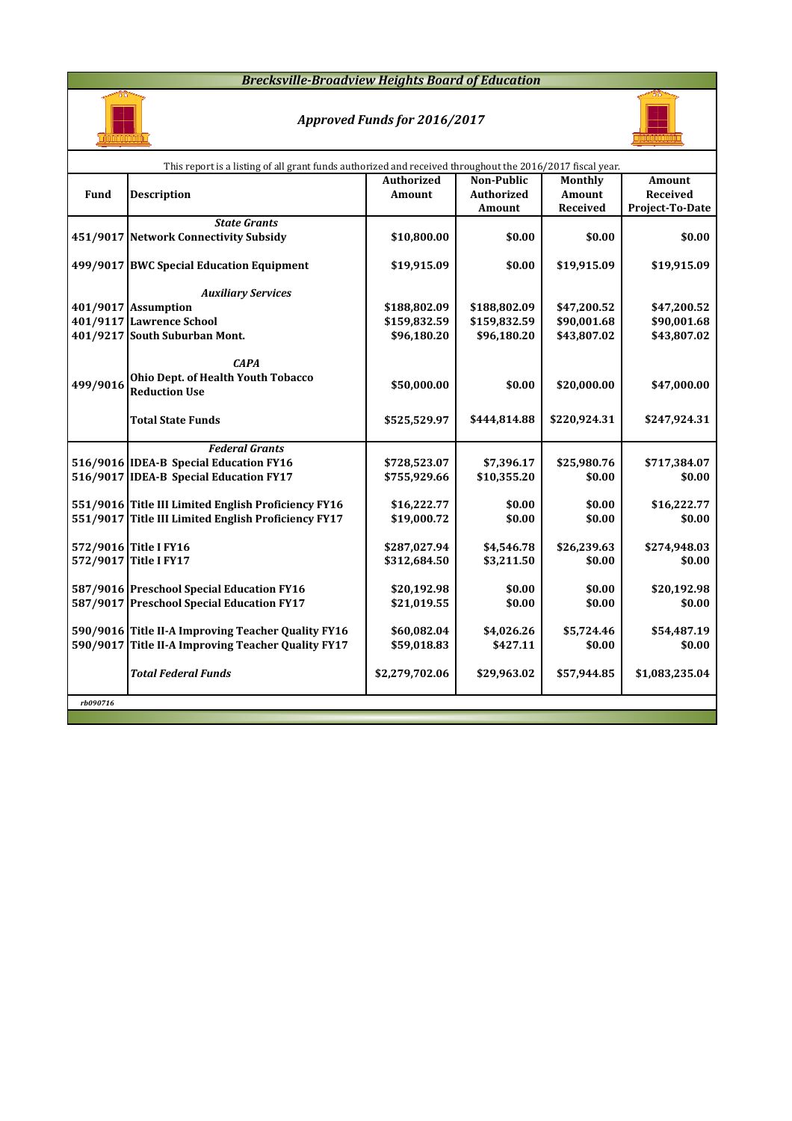## *Brecksville-Broadview Heights Board of Education*



# *Approved Funds for 2016/2017*



|          | This report is a listing of all grant funds authorized and received throughout the 2016/2017 fiscal year. |                |                   |              |                 |  |  |  |  |  |  |  |
|----------|-----------------------------------------------------------------------------------------------------------|----------------|-------------------|--------------|-----------------|--|--|--|--|--|--|--|
|          |                                                                                                           | Authorized     | Non-Public        | Monthly      | Amount          |  |  |  |  |  |  |  |
| Fund     | <b>Description</b>                                                                                        | <b>Amount</b>  | <b>Authorized</b> | Amount       | Received        |  |  |  |  |  |  |  |
|          |                                                                                                           |                | Amount            | Received     | Project-To-Date |  |  |  |  |  |  |  |
|          | <b>State Grants</b>                                                                                       |                |                   |              |                 |  |  |  |  |  |  |  |
|          | 451/9017 Network Connectivity Subsidy                                                                     | \$10,800.00    | \$0.00            | \$0.00       | \$0.00          |  |  |  |  |  |  |  |
|          | 499/9017 BWC Special Education Equipment                                                                  | \$19,915.09    | \$0.00            | \$19,915.09  | \$19,915.09     |  |  |  |  |  |  |  |
|          | <b>Auxiliary Services</b>                                                                                 |                |                   |              |                 |  |  |  |  |  |  |  |
|          | 401/9017 Assumption                                                                                       | \$188,802.09   | \$188,802.09      | \$47,200.52  | \$47,200.52     |  |  |  |  |  |  |  |
|          | 401/9117 Lawrence School                                                                                  | \$159,832.59   | \$159,832.59      | \$90,001.68  | \$90,001.68     |  |  |  |  |  |  |  |
|          | 401/9217 South Suburban Mont.                                                                             | \$96,180.20    | \$96,180.20       | \$43,807.02  | \$43,807.02     |  |  |  |  |  |  |  |
| 499/9016 | <b>CAPA</b><br>Ohio Dept. of Health Youth Tobacco<br><b>Reduction Use</b>                                 | \$50,000.00    | \$0.00            | \$20,000.00  | \$47,000.00     |  |  |  |  |  |  |  |
|          | <b>Total State Funds</b>                                                                                  | \$525,529.97   | \$444,814.88      | \$220,924.31 | \$247,924.31    |  |  |  |  |  |  |  |
|          | <b>Federal Grants</b>                                                                                     |                |                   |              |                 |  |  |  |  |  |  |  |
|          | 516/9016 IDEA-B Special Education FY16                                                                    | \$728,523.07   | \$7,396.17        | \$25,980.76  | \$717,384.07    |  |  |  |  |  |  |  |
|          | 516/9017 IDEA-B Special Education FY17                                                                    | \$755,929.66   | \$10,355.20       | \$0.00       | \$0.00          |  |  |  |  |  |  |  |
|          |                                                                                                           |                |                   |              |                 |  |  |  |  |  |  |  |
|          | 551/9016 Title III Limited English Proficiency FY16                                                       | \$16,222.77    | \$0.00            | \$0.00       | \$16,222.77     |  |  |  |  |  |  |  |
|          | 551/9017 Title III Limited English Proficiency FY17                                                       | \$19,000.72    | \$0.00            | \$0.00       | \$0.00          |  |  |  |  |  |  |  |
|          | 572/9016 Title I FY16                                                                                     | \$287,027.94   | \$4,546.78        | \$26,239.63  | \$274,948.03    |  |  |  |  |  |  |  |
|          | 572/9017 Title I FY17                                                                                     | \$312,684.50   | \$3,211.50        | \$0.00       | \$0.00          |  |  |  |  |  |  |  |
|          |                                                                                                           |                |                   |              |                 |  |  |  |  |  |  |  |
|          | 587/9016 Preschool Special Education FY16                                                                 | \$20,192.98    | \$0.00            | \$0.00       | \$20,192.98     |  |  |  |  |  |  |  |
|          | 587/9017 Preschool Special Education FY17                                                                 | \$21,019.55    | \$0.00            | \$0.00       | \$0.00          |  |  |  |  |  |  |  |
|          |                                                                                                           |                |                   |              |                 |  |  |  |  |  |  |  |
|          | 590/9016 Title II-A Improving Teacher Quality FY16                                                        | \$60,082.04    | \$4,026.26        | \$5,724.46   | \$54,487.19     |  |  |  |  |  |  |  |
|          | 590/9017 Title II-A Improving Teacher Quality FY17                                                        | \$59,018.83    | \$427.11          | \$0.00       | \$0.00          |  |  |  |  |  |  |  |
|          | <b>Total Federal Funds</b>                                                                                | \$2,279,702.06 | \$29,963.02       | \$57,944.85  | \$1,083,235.04  |  |  |  |  |  |  |  |
| rb090716 |                                                                                                           |                |                   |              |                 |  |  |  |  |  |  |  |
|          |                                                                                                           |                |                   |              |                 |  |  |  |  |  |  |  |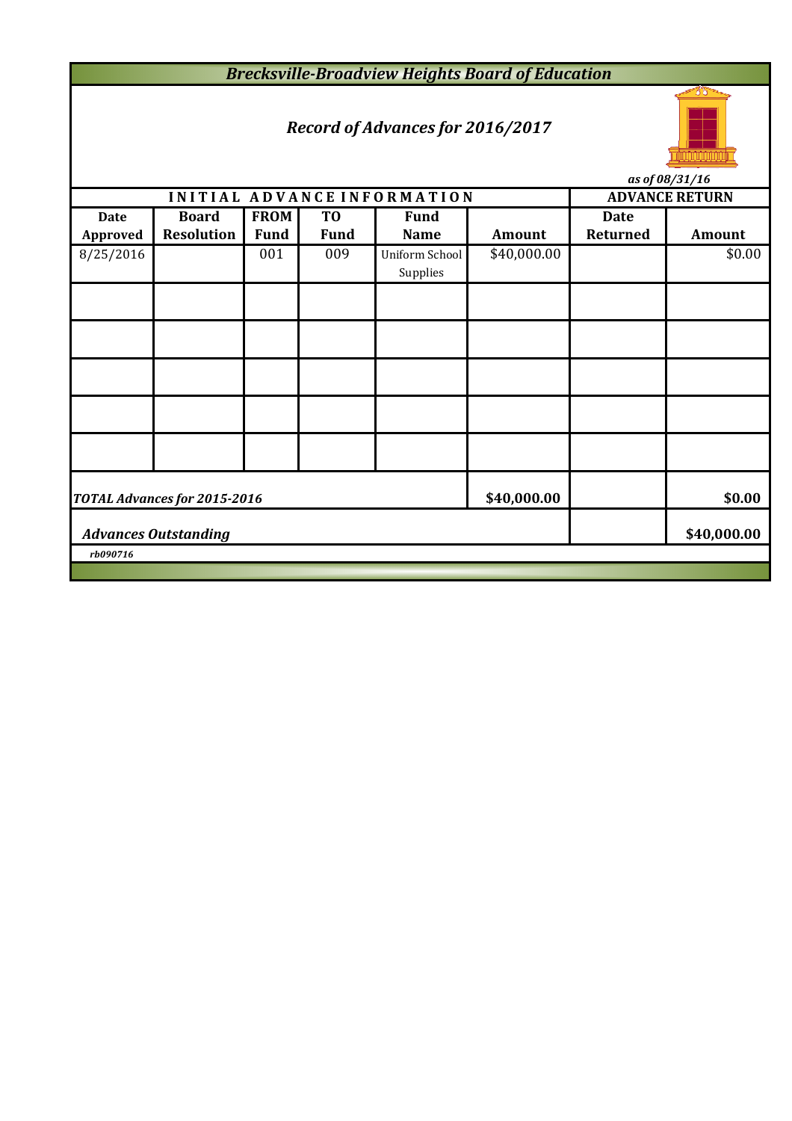*Brecksville-Broadview Heights Board of Education*

# *Record of Advances for 2016/2017*



*as of 08/31/16*

|                 |                              |             |                | INITIAL ADVANCE INFORMATION |               | <b>ADVANCE RETURN</b> |               |  |  |  |
|-----------------|------------------------------|-------------|----------------|-----------------------------|---------------|-----------------------|---------------|--|--|--|
| <b>Date</b>     | <b>Board</b>                 | <b>FROM</b> | T <sub>0</sub> | <b>Fund</b>                 |               | <b>Date</b>           |               |  |  |  |
| <b>Approved</b> | <b>Resolution</b>            | <b>Fund</b> | <b>Fund</b>    | <b>Name</b>                 | <b>Amount</b> | Returned              | <b>Amount</b> |  |  |  |
| 8/25/2016       |                              | 001         | 009            | Uniform School<br>Supplies  | \$40,000.00   |                       | \$0.00        |  |  |  |
|                 |                              |             |                |                             |               |                       |               |  |  |  |
|                 |                              |             |                |                             |               |                       |               |  |  |  |
|                 |                              |             |                |                             |               |                       |               |  |  |  |
|                 |                              |             |                |                             |               |                       |               |  |  |  |
|                 |                              |             |                |                             |               |                       |               |  |  |  |
|                 | TOTAL Advances for 2015-2016 | \$40,000.00 |                | \$0.00                      |               |                       |               |  |  |  |
|                 | <b>Advances Outstanding</b>  |             | \$40,000.00    |                             |               |                       |               |  |  |  |
| rb090716        |                              |             |                |                             |               |                       |               |  |  |  |
|                 |                              |             |                |                             |               |                       |               |  |  |  |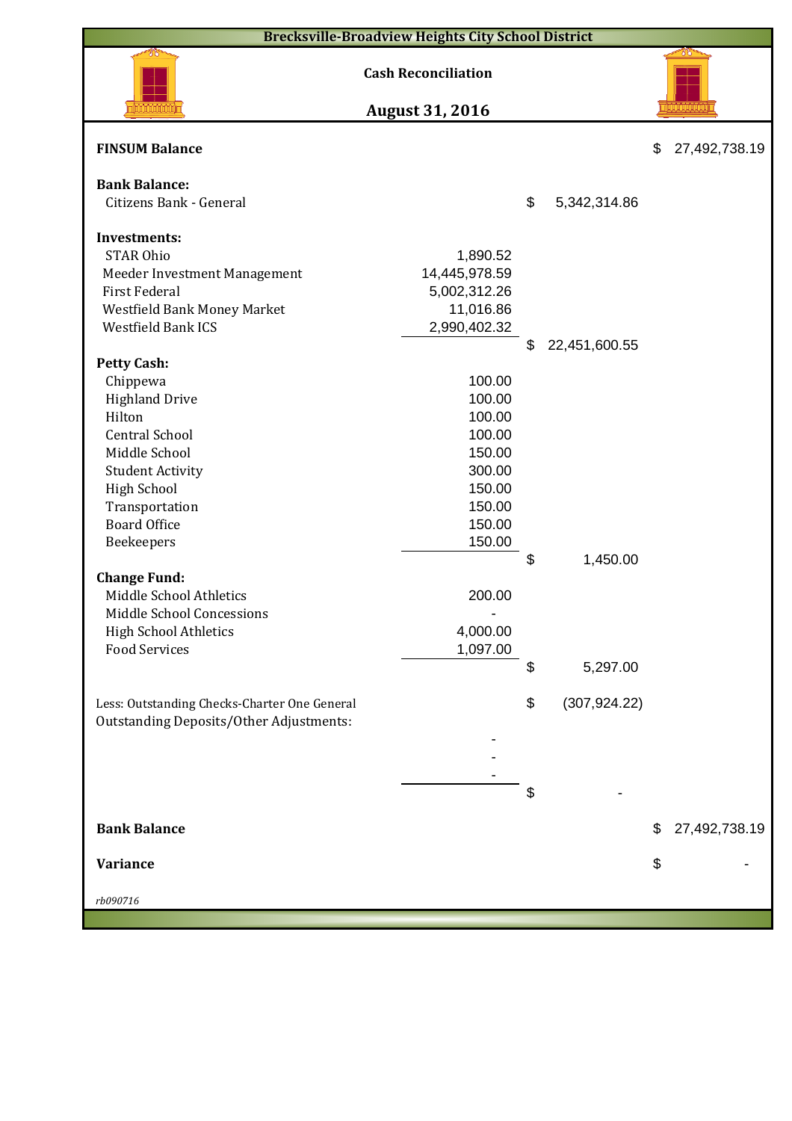| <b>Cash Reconciliation</b><br><b>August 31, 2016</b><br><b>FINSUM Balance</b><br>\$<br>27,492,738.19<br><b>Bank Balance:</b><br>\$<br>Citizens Bank - General<br>5,342,314.86<br><b>Investments:</b><br><b>STAR Ohio</b><br>1,890.52<br>14,445,978.59<br>Meeder Investment Management<br>First Federal<br>5,002,312.26<br>11,016.86<br>Westfield Bank Money Market<br>Westfield Bank ICS<br>2,990,402.32<br>22,451,600.55<br>\$<br><b>Petty Cash:</b><br>Chippewa<br>100.00<br>100.00<br><b>Highland Drive</b><br>Hilton<br>100.00<br><b>Central School</b><br>100.00<br>150.00<br>Middle School<br>300.00<br><b>Student Activity</b><br><b>High School</b><br>150.00<br>Transportation<br>150.00<br><b>Board Office</b><br>150.00<br>150.00<br>Beekeepers<br>\$<br>1,450.00<br><b>Change Fund:</b><br>Middle School Athletics<br>200.00<br>Middle School Concessions<br>4,000.00<br><b>High School Athletics</b><br><b>Food Services</b><br>1,097.00<br>\$<br>5,297.00<br>(307, 924.22)<br>\$<br>Less: Outstanding Checks-Charter One General<br><b>Outstanding Deposits/Other Adjustments:</b><br>\$<br>27,492,738.19<br><b>Bank Balance</b><br>\$<br>Variance<br>\$ | <b>Brecksville-Broadview Heights City School District</b> |  |  |
|------------------------------------------------------------------------------------------------------------------------------------------------------------------------------------------------------------------------------------------------------------------------------------------------------------------------------------------------------------------------------------------------------------------------------------------------------------------------------------------------------------------------------------------------------------------------------------------------------------------------------------------------------------------------------------------------------------------------------------------------------------------------------------------------------------------------------------------------------------------------------------------------------------------------------------------------------------------------------------------------------------------------------------------------------------------------------------------------------------------------------------------------------------------------|-----------------------------------------------------------|--|--|
|                                                                                                                                                                                                                                                                                                                                                                                                                                                                                                                                                                                                                                                                                                                                                                                                                                                                                                                                                                                                                                                                                                                                                                        |                                                           |  |  |
|                                                                                                                                                                                                                                                                                                                                                                                                                                                                                                                                                                                                                                                                                                                                                                                                                                                                                                                                                                                                                                                                                                                                                                        |                                                           |  |  |
|                                                                                                                                                                                                                                                                                                                                                                                                                                                                                                                                                                                                                                                                                                                                                                                                                                                                                                                                                                                                                                                                                                                                                                        |                                                           |  |  |
|                                                                                                                                                                                                                                                                                                                                                                                                                                                                                                                                                                                                                                                                                                                                                                                                                                                                                                                                                                                                                                                                                                                                                                        |                                                           |  |  |
|                                                                                                                                                                                                                                                                                                                                                                                                                                                                                                                                                                                                                                                                                                                                                                                                                                                                                                                                                                                                                                                                                                                                                                        |                                                           |  |  |
|                                                                                                                                                                                                                                                                                                                                                                                                                                                                                                                                                                                                                                                                                                                                                                                                                                                                                                                                                                                                                                                                                                                                                                        |                                                           |  |  |
|                                                                                                                                                                                                                                                                                                                                                                                                                                                                                                                                                                                                                                                                                                                                                                                                                                                                                                                                                                                                                                                                                                                                                                        |                                                           |  |  |
|                                                                                                                                                                                                                                                                                                                                                                                                                                                                                                                                                                                                                                                                                                                                                                                                                                                                                                                                                                                                                                                                                                                                                                        |                                                           |  |  |
|                                                                                                                                                                                                                                                                                                                                                                                                                                                                                                                                                                                                                                                                                                                                                                                                                                                                                                                                                                                                                                                                                                                                                                        |                                                           |  |  |
|                                                                                                                                                                                                                                                                                                                                                                                                                                                                                                                                                                                                                                                                                                                                                                                                                                                                                                                                                                                                                                                                                                                                                                        |                                                           |  |  |
|                                                                                                                                                                                                                                                                                                                                                                                                                                                                                                                                                                                                                                                                                                                                                                                                                                                                                                                                                                                                                                                                                                                                                                        |                                                           |  |  |
|                                                                                                                                                                                                                                                                                                                                                                                                                                                                                                                                                                                                                                                                                                                                                                                                                                                                                                                                                                                                                                                                                                                                                                        |                                                           |  |  |
|                                                                                                                                                                                                                                                                                                                                                                                                                                                                                                                                                                                                                                                                                                                                                                                                                                                                                                                                                                                                                                                                                                                                                                        |                                                           |  |  |
|                                                                                                                                                                                                                                                                                                                                                                                                                                                                                                                                                                                                                                                                                                                                                                                                                                                                                                                                                                                                                                                                                                                                                                        |                                                           |  |  |
|                                                                                                                                                                                                                                                                                                                                                                                                                                                                                                                                                                                                                                                                                                                                                                                                                                                                                                                                                                                                                                                                                                                                                                        |                                                           |  |  |
|                                                                                                                                                                                                                                                                                                                                                                                                                                                                                                                                                                                                                                                                                                                                                                                                                                                                                                                                                                                                                                                                                                                                                                        |                                                           |  |  |
|                                                                                                                                                                                                                                                                                                                                                                                                                                                                                                                                                                                                                                                                                                                                                                                                                                                                                                                                                                                                                                                                                                                                                                        |                                                           |  |  |
|                                                                                                                                                                                                                                                                                                                                                                                                                                                                                                                                                                                                                                                                                                                                                                                                                                                                                                                                                                                                                                                                                                                                                                        |                                                           |  |  |
|                                                                                                                                                                                                                                                                                                                                                                                                                                                                                                                                                                                                                                                                                                                                                                                                                                                                                                                                                                                                                                                                                                                                                                        |                                                           |  |  |
|                                                                                                                                                                                                                                                                                                                                                                                                                                                                                                                                                                                                                                                                                                                                                                                                                                                                                                                                                                                                                                                                                                                                                                        |                                                           |  |  |
|                                                                                                                                                                                                                                                                                                                                                                                                                                                                                                                                                                                                                                                                                                                                                                                                                                                                                                                                                                                                                                                                                                                                                                        |                                                           |  |  |
|                                                                                                                                                                                                                                                                                                                                                                                                                                                                                                                                                                                                                                                                                                                                                                                                                                                                                                                                                                                                                                                                                                                                                                        |                                                           |  |  |
|                                                                                                                                                                                                                                                                                                                                                                                                                                                                                                                                                                                                                                                                                                                                                                                                                                                                                                                                                                                                                                                                                                                                                                        |                                                           |  |  |
|                                                                                                                                                                                                                                                                                                                                                                                                                                                                                                                                                                                                                                                                                                                                                                                                                                                                                                                                                                                                                                                                                                                                                                        |                                                           |  |  |
|                                                                                                                                                                                                                                                                                                                                                                                                                                                                                                                                                                                                                                                                                                                                                                                                                                                                                                                                                                                                                                                                                                                                                                        |                                                           |  |  |
|                                                                                                                                                                                                                                                                                                                                                                                                                                                                                                                                                                                                                                                                                                                                                                                                                                                                                                                                                                                                                                                                                                                                                                        |                                                           |  |  |
|                                                                                                                                                                                                                                                                                                                                                                                                                                                                                                                                                                                                                                                                                                                                                                                                                                                                                                                                                                                                                                                                                                                                                                        |                                                           |  |  |
|                                                                                                                                                                                                                                                                                                                                                                                                                                                                                                                                                                                                                                                                                                                                                                                                                                                                                                                                                                                                                                                                                                                                                                        |                                                           |  |  |
|                                                                                                                                                                                                                                                                                                                                                                                                                                                                                                                                                                                                                                                                                                                                                                                                                                                                                                                                                                                                                                                                                                                                                                        |                                                           |  |  |
|                                                                                                                                                                                                                                                                                                                                                                                                                                                                                                                                                                                                                                                                                                                                                                                                                                                                                                                                                                                                                                                                                                                                                                        |                                                           |  |  |
|                                                                                                                                                                                                                                                                                                                                                                                                                                                                                                                                                                                                                                                                                                                                                                                                                                                                                                                                                                                                                                                                                                                                                                        |                                                           |  |  |
|                                                                                                                                                                                                                                                                                                                                                                                                                                                                                                                                                                                                                                                                                                                                                                                                                                                                                                                                                                                                                                                                                                                                                                        |                                                           |  |  |
|                                                                                                                                                                                                                                                                                                                                                                                                                                                                                                                                                                                                                                                                                                                                                                                                                                                                                                                                                                                                                                                                                                                                                                        |                                                           |  |  |
|                                                                                                                                                                                                                                                                                                                                                                                                                                                                                                                                                                                                                                                                                                                                                                                                                                                                                                                                                                                                                                                                                                                                                                        |                                                           |  |  |
|                                                                                                                                                                                                                                                                                                                                                                                                                                                                                                                                                                                                                                                                                                                                                                                                                                                                                                                                                                                                                                                                                                                                                                        |                                                           |  |  |
|                                                                                                                                                                                                                                                                                                                                                                                                                                                                                                                                                                                                                                                                                                                                                                                                                                                                                                                                                                                                                                                                                                                                                                        |                                                           |  |  |
|                                                                                                                                                                                                                                                                                                                                                                                                                                                                                                                                                                                                                                                                                                                                                                                                                                                                                                                                                                                                                                                                                                                                                                        |                                                           |  |  |
|                                                                                                                                                                                                                                                                                                                                                                                                                                                                                                                                                                                                                                                                                                                                                                                                                                                                                                                                                                                                                                                                                                                                                                        |                                                           |  |  |
|                                                                                                                                                                                                                                                                                                                                                                                                                                                                                                                                                                                                                                                                                                                                                                                                                                                                                                                                                                                                                                                                                                                                                                        |                                                           |  |  |
|                                                                                                                                                                                                                                                                                                                                                                                                                                                                                                                                                                                                                                                                                                                                                                                                                                                                                                                                                                                                                                                                                                                                                                        |                                                           |  |  |
| rb090716                                                                                                                                                                                                                                                                                                                                                                                                                                                                                                                                                                                                                                                                                                                                                                                                                                                                                                                                                                                                                                                                                                                                                               |                                                           |  |  |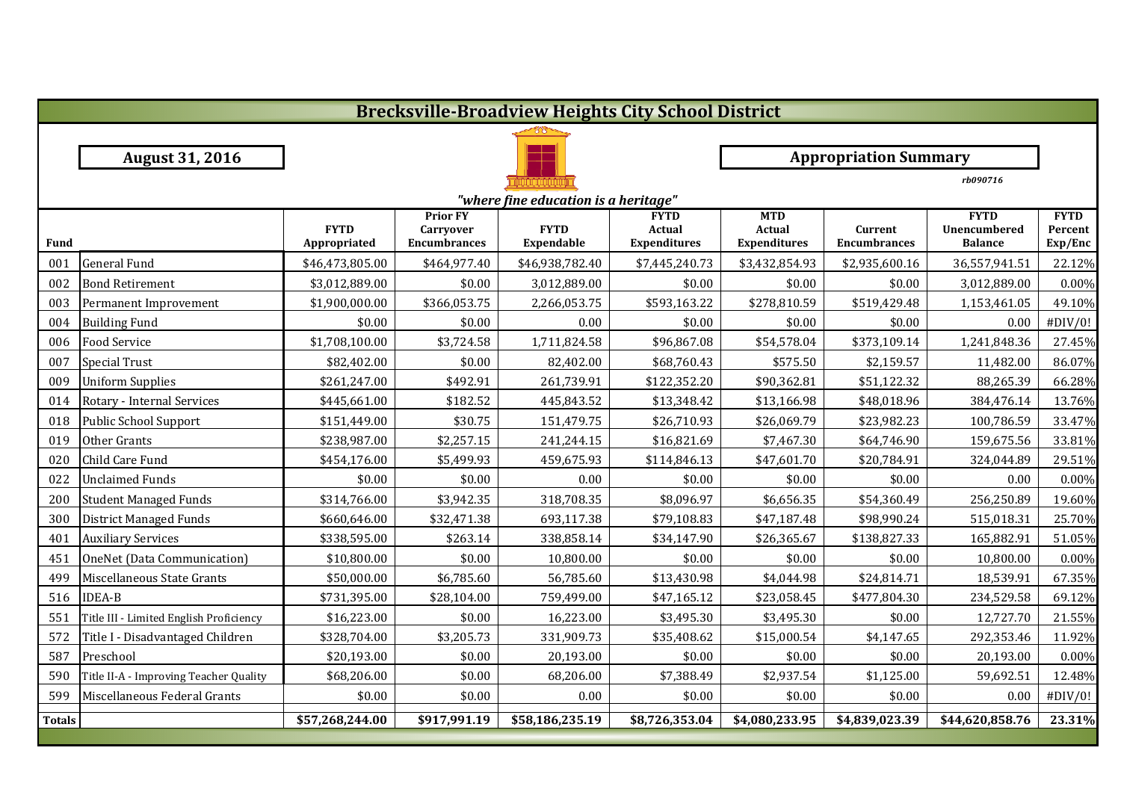|               | <b>Brecksville-Broadview Heights City School District</b> |                             |                                                            |                                  |                                              |                                                    |                                |                                                      |                                   |  |  |  |
|---------------|-----------------------------------------------------------|-----------------------------|------------------------------------------------------------|----------------------------------|----------------------------------------------|----------------------------------------------------|--------------------------------|------------------------------------------------------|-----------------------------------|--|--|--|
|               |                                                           |                             |                                                            |                                  |                                              |                                                    |                                |                                                      |                                   |  |  |  |
|               | <b>August 31, 2016</b>                                    |                             |                                                            |                                  |                                              |                                                    | <b>Appropriation Summary</b>   |                                                      |                                   |  |  |  |
|               |                                                           |                             |                                                            |                                  | rb090716                                     |                                                    |                                |                                                      |                                   |  |  |  |
|               | "where fine education is a heritage"                      |                             |                                                            |                                  |                                              |                                                    |                                |                                                      |                                   |  |  |  |
| <b>Fund</b>   |                                                           | <b>FYTD</b><br>Appropriated | <b>Prior FY</b><br><b>Carryover</b><br><b>Encumbrances</b> | <b>FYTD</b><br><b>Expendable</b> | <b>FYTD</b><br>Actual<br><b>Expenditures</b> | <b>MTD</b><br><b>Actual</b><br><b>Expenditures</b> | Current<br><b>Encumbrances</b> | <b>FYTD</b><br><b>Unencumbered</b><br><b>Balance</b> | <b>FYTD</b><br>Percent<br>Exp/Enc |  |  |  |
| 001           | <b>General Fund</b>                                       | \$46,473,805.00             | \$464,977.40                                               | \$46,938,782.40                  | \$7,445,240.73                               | \$3,432,854.93                                     | \$2,935,600.16                 | 36,557,941.51                                        | 22.12%                            |  |  |  |
| 002           | <b>Bond Retirement</b>                                    | \$3,012,889.00              | \$0.00                                                     | 3,012,889.00                     | \$0.00                                       | \$0.00                                             | \$0.00                         | 3,012,889.00                                         | 0.00%                             |  |  |  |
| 003           | Permanent Improvement                                     | \$1,900,000.00              | \$366,053.75                                               | 2,266,053.75                     | \$593,163.22                                 | \$278,810.59                                       | \$519,429.48                   | 1,153,461.05                                         | 49.10%                            |  |  |  |
| 004           | <b>Building Fund</b>                                      | \$0.00                      | \$0.00                                                     | 0.00                             | \$0.00                                       | \$0.00                                             | \$0.00                         | 0.00                                                 | #DIV/0!                           |  |  |  |
| 006           | <b>Food Service</b>                                       | \$1,708,100.00              | \$3,724.58                                                 | 1,711,824.58                     | \$96,867.08                                  | \$54,578.04                                        | \$373,109.14                   | 1,241,848.36                                         | 27.45%                            |  |  |  |
| 007           | <b>Special Trust</b>                                      | \$82,402.00                 | \$0.00                                                     | 82,402.00                        | \$68,760.43                                  | \$575.50                                           | \$2,159.57                     | 11,482.00                                            | 86.07%                            |  |  |  |
| 009           | <b>Uniform Supplies</b>                                   | \$261,247.00                | \$492.91                                                   | 261,739.91                       | \$122,352.20                                 | \$90,362.81                                        | \$51,122.32                    | 88,265.39                                            | 66.28%                            |  |  |  |
| 014           | Rotary - Internal Services                                | \$445,661.00                | \$182.52                                                   | 445,843.52                       | \$13,348.42                                  | \$13,166.98                                        | \$48,018.96                    | 384,476.14                                           | 13.76%                            |  |  |  |
| 018           | Public School Support                                     | \$151,449.00                | \$30.75                                                    | 151,479.75                       | \$26,710.93                                  | \$26,069.79                                        | \$23,982.23                    | 100,786.59                                           | 33.47%                            |  |  |  |
| 019           | Other Grants                                              | \$238,987.00                | \$2,257.15                                                 | 241,244.15                       | \$16,821.69                                  | \$7,467.30                                         | \$64,746.90                    | 159,675.56                                           | 33.81%                            |  |  |  |
| 020           | Child Care Fund                                           | \$454,176.00                | \$5,499.93                                                 | 459,675.93                       | \$114,846.13                                 | \$47,601.70                                        | \$20,784.91                    | 324,044.89                                           | 29.51%                            |  |  |  |
| 022           | <b>Unclaimed Funds</b>                                    | \$0.00                      | \$0.00                                                     | 0.00                             | \$0.00                                       | \$0.00                                             | \$0.00                         | 0.00                                                 | 0.00%                             |  |  |  |
| 200           | <b>Student Managed Funds</b>                              | \$314,766.00                | \$3,942.35                                                 | 318,708.35                       | \$8,096.97                                   | \$6,656.35                                         | \$54,360.49                    | 256,250.89                                           | 19.60%                            |  |  |  |
| 300           | <b>District Managed Funds</b>                             | \$660,646.00                | \$32,471.38                                                | 693,117.38                       | \$79,108.83                                  | \$47,187.48                                        | \$98,990.24                    | 515,018.31                                           | 25.70%                            |  |  |  |
| 401           | <b>Auxiliary Services</b>                                 | \$338,595.00                | \$263.14                                                   | 338,858.14                       | \$34,147.90                                  | \$26,365.67                                        | \$138,827.33                   | 165,882.91                                           | 51.05%                            |  |  |  |
| 451           | OneNet (Data Communication)                               | \$10,800.00                 | \$0.00                                                     | 10,800.00                        | \$0.00                                       | \$0.00                                             | \$0.00                         | 10,800.00                                            | 0.00%                             |  |  |  |
| 499           | Miscellaneous State Grants                                | \$50,000.00                 | \$6,785.60                                                 | 56,785.60                        | \$13,430.98                                  | \$4,044.98                                         | \$24,814.71                    | 18,539.91                                            | 67.35%                            |  |  |  |
| 516           | <b>IDEA-B</b>                                             | \$731,395.00                | \$28,104.00                                                | 759,499.00                       | \$47,165.12                                  | \$23,058.45                                        | \$477,804.30                   | 234,529.58                                           | 69.12%                            |  |  |  |
| 551           | Title III - Limited English Proficiency                   | \$16,223.00                 | \$0.00                                                     | 16,223.00                        | \$3,495.30                                   | \$3,495.30                                         | \$0.00                         | 12,727.70                                            | 21.55%                            |  |  |  |
| 572           | Title I - Disadvantaged Children                          | \$328,704.00                | \$3,205.73                                                 | 331,909.73                       | \$35,408.62                                  | \$15,000.54                                        | \$4,147.65                     | 292,353.46                                           | 11.92%                            |  |  |  |
| 587           | Preschool                                                 | \$20,193.00                 | \$0.00                                                     | 20,193.00                        | \$0.00                                       | \$0.00                                             | \$0.00                         | 20,193.00                                            | 0.00%                             |  |  |  |
| 590           | Title II-A - Improving Teacher Quality                    | \$68,206.00                 | \$0.00                                                     | 68,206.00                        | \$7,388.49                                   | \$2,937.54                                         | \$1,125.00                     | 59,692.51                                            | 12.48%                            |  |  |  |
| 599           | Miscellaneous Federal Grants                              | \$0.00                      | \$0.00                                                     | 0.00                             | \$0.00                                       | \$0.00                                             | \$0.00                         | 0.00                                                 | #DIV/0!                           |  |  |  |
| <b>Totals</b> |                                                           | \$57,268,244.00             | \$917,991.19                                               | \$58,186,235.19                  | \$8,726,353.04                               | \$4,080,233.95                                     | \$4,839,023.39                 | \$44,620,858.76                                      | 23.31%                            |  |  |  |